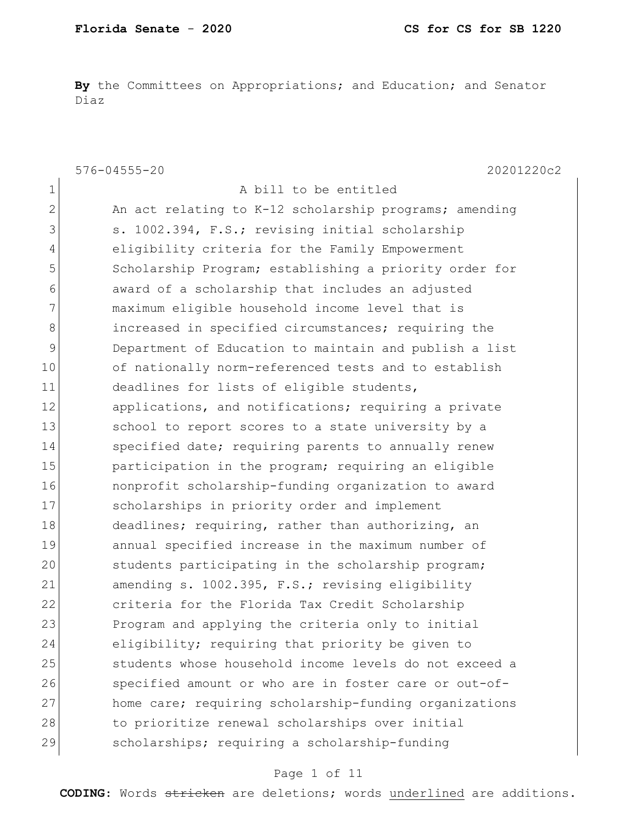**By** the Committees on Appropriations; and Education; and Senator Diaz

|              | $576 - 04555 - 20$<br>20201220c2                       |
|--------------|--------------------------------------------------------|
| $\mathbf 1$  | A bill to be entitled                                  |
| $\mathbf{2}$ | An act relating to K-12 scholarship programs; amending |
| 3            | s. 1002.394, F.S.; revising initial scholarship        |
| 4            | eligibility criteria for the Family Empowerment        |
| 5            | Scholarship Program; establishing a priority order for |
| 6            | award of a scholarship that includes an adjusted       |
| 7            | maximum eligible household income level that is        |
| $8\,$        | increased in specified circumstances; requiring the    |
| 9            | Department of Education to maintain and publish a list |
| 10           | of nationally norm-referenced tests and to establish   |
| 11           | deadlines for lists of eligible students,              |
| 12           | applications, and notifications; requiring a private   |
| 13           | school to report scores to a state university by a     |
| 14           | specified date; requiring parents to annually renew    |
| 15           | participation in the program; requiring an eligible    |
| 16           | nonprofit scholarship-funding organization to award    |
| 17           | scholarships in priority order and implement           |
| 18           | deadlines; requiring, rather than authorizing, an      |
| 19           | annual specified increase in the maximum number of     |
| 20           | students participating in the scholarship program;     |
| 21           | amending s. 1002.395, F.S.; revising eligibility       |
| 22           | criteria for the Florida Tax Credit Scholarship        |
| 23           | Program and applying the criteria only to initial      |
| 24           | eligibility; requiring that priority be given to       |
| 25           | students whose household income levels do not exceed a |
| 26           | specified amount or who are in foster care or out-of-  |
| 27           | home care; requiring scholarship-funding organizations |
| 28           | to prioritize renewal scholarships over initial        |
| 29           | scholarships; requiring a scholarship-funding          |

## Page 1 of 11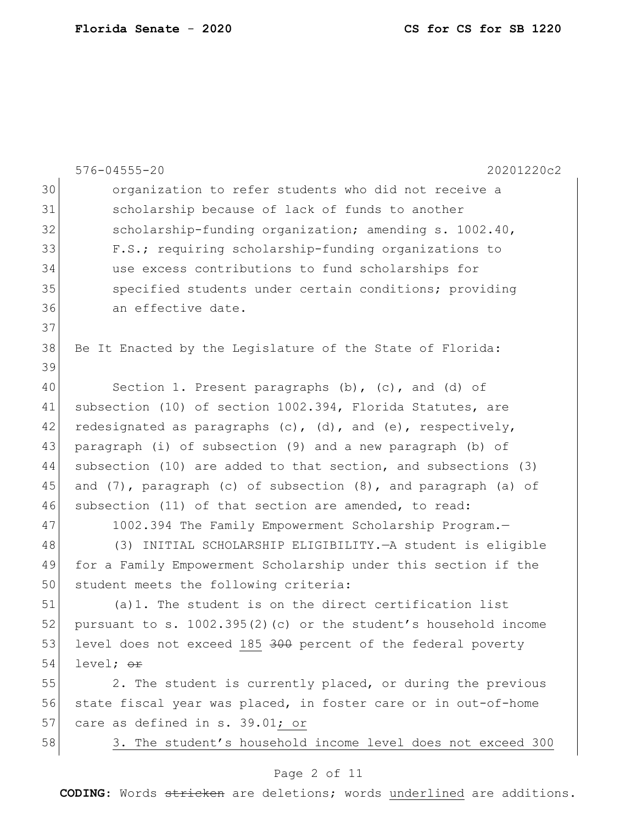|    | $576 - 04555 - 20$<br>20201220c2                                         |
|----|--------------------------------------------------------------------------|
| 30 | organization to refer students who did not receive a                     |
| 31 | scholarship because of lack of funds to another                          |
| 32 | scholarship-funding organization; amending s. 1002.40,                   |
| 33 | F.S.; requiring scholarship-funding organizations to                     |
| 34 | use excess contributions to fund scholarships for                        |
| 35 | specified students under certain conditions; providing                   |
| 36 | an effective date.                                                       |
| 37 |                                                                          |
| 38 | Be It Enacted by the Legislature of the State of Florida:                |
| 39 |                                                                          |
| 40 | Section 1. Present paragraphs (b), (c), and (d) of                       |
| 41 | subsection (10) of section 1002.394, Florida Statutes, are               |
| 42 | redesignated as paragraphs $(c)$ , $(d)$ , and $(e)$ , respectively,     |
| 43 | paragraph (i) of subsection (9) and a new paragraph (b) of               |
| 44 | subsection (10) are added to that section, and subsections (3)           |
| 45 | and $(7)$ , paragraph $(c)$ of subsection $(8)$ , and paragraph $(a)$ of |
| 46 | subsection (11) of that section are amended, to read:                    |
| 47 | 1002.394 The Family Empowerment Scholarship Program.-                    |
| 48 | (3) INITIAL SCHOLARSHIP ELIGIBILITY. - A student is eligible             |
| 49 | for a Family Empowerment Scholarship under this section if the           |
| 50 | student meets the following criteria:                                    |
| 51 | $(a)$ 1. The student is on the direct certification list                 |
| 52 | pursuant to s. $1002.395(2)$ (c) or the student's household income       |
| 53 | level does not exceed 185 300 percent of the federal poverty             |
| 54 | level; <del>or</del>                                                     |
| 55 | 2. The student is currently placed, or during the previous               |
| 56 | state fiscal year was placed, in foster care or in out-of-home           |
| 57 | care as defined in s. 39.01; or                                          |
| 58 | 3. The student's household income level does not exceed 300              |
|    |                                                                          |

## Page 2 of 11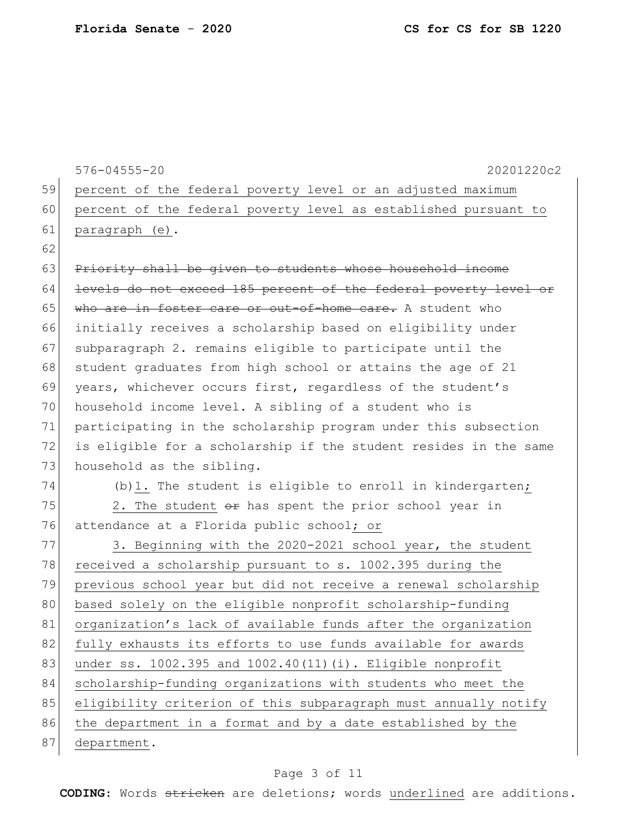|    | $576 - 04555 - 20$<br>20201220c2                                 |
|----|------------------------------------------------------------------|
| 59 | percent of the federal poverty level or an adjusted maximum      |
| 60 | percent of the federal poverty level as established pursuant to  |
| 61 | paragraph (e).                                                   |
| 62 |                                                                  |
| 63 | Priority shall be given to students whose household income       |
| 64 | levels do not exceed 185 percent of the federal poverty level or |
| 65 | who are in foster care or out-of-home care. A student who        |
| 66 | initially receives a scholarship based on eligibility under      |
| 67 | subparagraph 2. remains eligible to participate until the        |
| 68 | student graduates from high school or attains the age of 21      |
| 69 | years, whichever occurs first, regardless of the student's       |
| 70 | household income level. A sibling of a student who is            |
| 71 | participating in the scholarship program under this subsection   |
| 72 | is eligible for a scholarship if the student resides in the same |
| 73 | household as the sibling.                                        |
| 74 | (b) 1. The student is eligible to enroll in kindergarten;        |
| 75 | 2. The student or has spent the prior school year in             |
| 76 | attendance at a Florida public school; or                        |
| 77 | 3. Beginning with the 2020-2021 school year, the student         |
| 78 | received a scholarship pursuant to s. 1002.395 during the        |
| 79 | previous school year but did not receive a renewal scholarship   |
| 80 | based solely on the eligible nonprofit scholarship-funding       |
| 81 | organization's lack of available funds after the organization    |
| 82 | fully exhausts its efforts to use funds available for awards     |
| 83 | under ss. 1002.395 and 1002.40(11)(i). Eligible nonprofit        |
| 84 | scholarship-funding organizations with students who meet the     |
| 85 | eligibility criterion of this subparagraph must annually notify  |
| 86 | the department in a format and by a date established by the      |
| 87 | department.                                                      |

# Page 3 of 11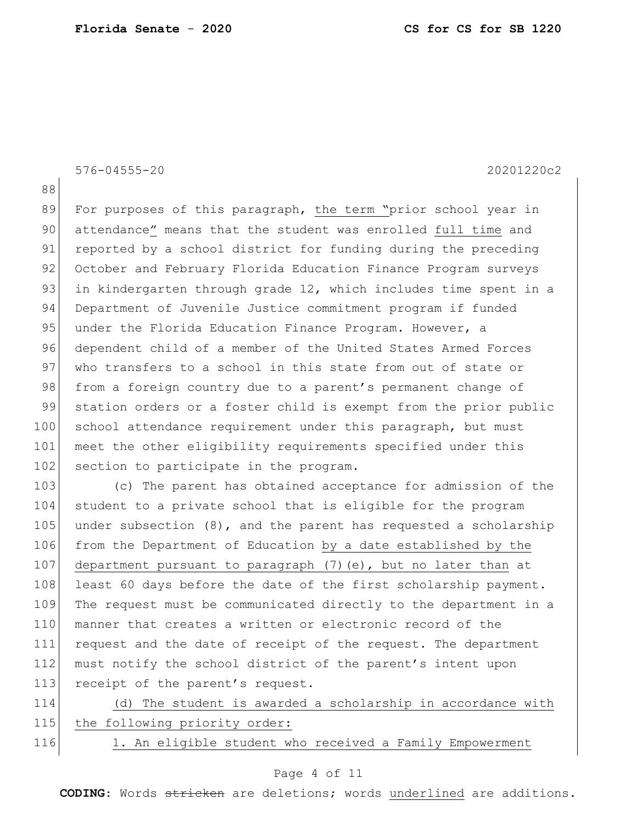576-04555-20 20201220c2

88

89 For purposes of this paragraph, the term "prior school year in 90 attendance" means that the student was enrolled full time and 91 reported by a school district for funding during the preceding 92 October and February Florida Education Finance Program surveys 93 in kindergarten through grade 12, which includes time spent in a 94 Department of Juvenile Justice commitment program if funded 95 under the Florida Education Finance Program. However, a 96 dependent child of a member of the United States Armed Forces 97 who transfers to a school in this state from out of state or 98 from a foreign country due to a parent's permanent change of 99 station orders or a foster child is exempt from the prior public 100 school attendance requirement under this paragraph, but must 101 meet the other eligibility requirements specified under this 102 section to participate in the program.

103 (c) The parent has obtained acceptance for admission of the 104 student to a private school that is eligible for the program 105 under subsection (8), and the parent has requested a scholarship 106 from the Department of Education by a date established by the 107 department pursuant to paragraph (7)(e), but no later than at 108 least 60 days before the date of the first scholarship payment. 109 The request must be communicated directly to the department in a 110 manner that creates a written or electronic record of the 111 request and the date of receipt of the request. The department 112 must notify the school district of the parent's intent upon 113 receipt of the parent's request.

114 (d) The student is awarded a scholarship in accordance with 115 the following priority order:

116 1. An eligible student who received a Family Empowerment

#### Page 4 of 11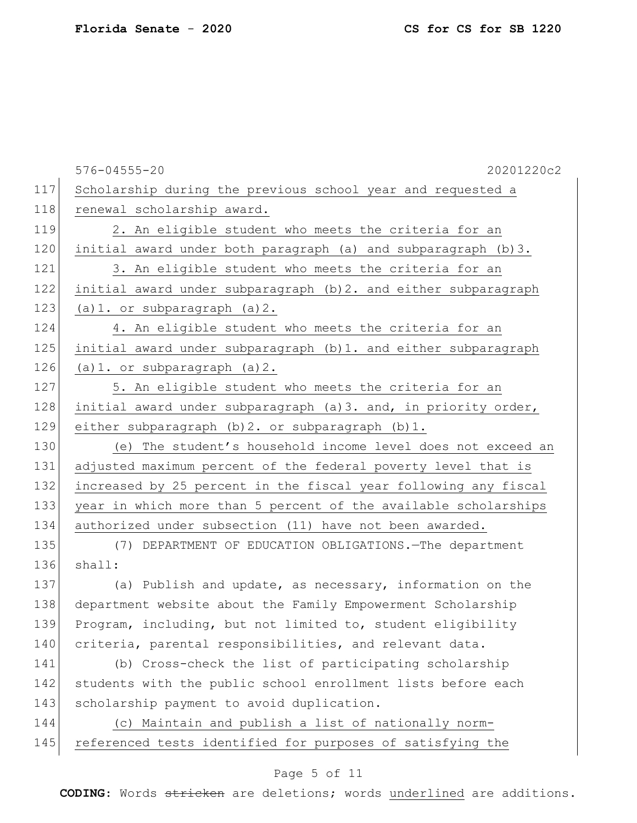|     | $576 - 04555 - 20$<br>20201220c2                                |
|-----|-----------------------------------------------------------------|
| 117 | Scholarship during the previous school year and requested a     |
| 118 | renewal scholarship award.                                      |
| 119 | 2. An eligible student who meets the criteria for an            |
| 120 | initial award under both paragraph (a) and subparagraph (b)3.   |
| 121 | 3. An eligible student who meets the criteria for an            |
| 122 | initial award under subparagraph (b) 2. and either subparagraph |
| 123 | $(a) 1.$ or subparagraph $(a) 2.$                               |
| 124 | 4. An eligible student who meets the criteria for an            |
| 125 | initial award under subparagraph (b)1. and either subparagraph  |
| 126 | $(a) 1.$ or subparagraph $(a) 2.$                               |
| 127 | 5. An eligible student who meets the criteria for an            |
| 128 | initial award under subparagraph (a)3. and, in priority order,  |
| 129 | either subparagraph (b) 2. or subparagraph (b) 1.               |
| 130 | (e) The student's household income level does not exceed an     |
| 131 | adjusted maximum percent of the federal poverty level that is   |
| 132 | increased by 25 percent in the fiscal year following any fiscal |
| 133 | year in which more than 5 percent of the available scholarships |
| 134 | authorized under subsection (11) have not been awarded.         |
| 135 | (7) DEPARTMENT OF EDUCATION OBLIGATIONS. - The department       |
| 136 | shall:                                                          |
| 137 | (a) Publish and update, as necessary, information on the        |
| 138 | department website about the Family Empowerment Scholarship     |
| 139 | Program, including, but not limited to, student eligibility     |
| 140 | criteria, parental responsibilities, and relevant data.         |
| 141 | (b) Cross-check the list of participating scholarship           |
| 142 | students with the public school enrollment lists before each    |
| 143 | scholarship payment to avoid duplication.                       |
| 144 | (c) Maintain and publish a list of nationally norm-             |
| 145 | referenced tests identified for purposes of satisfying the      |

# Page 5 of 11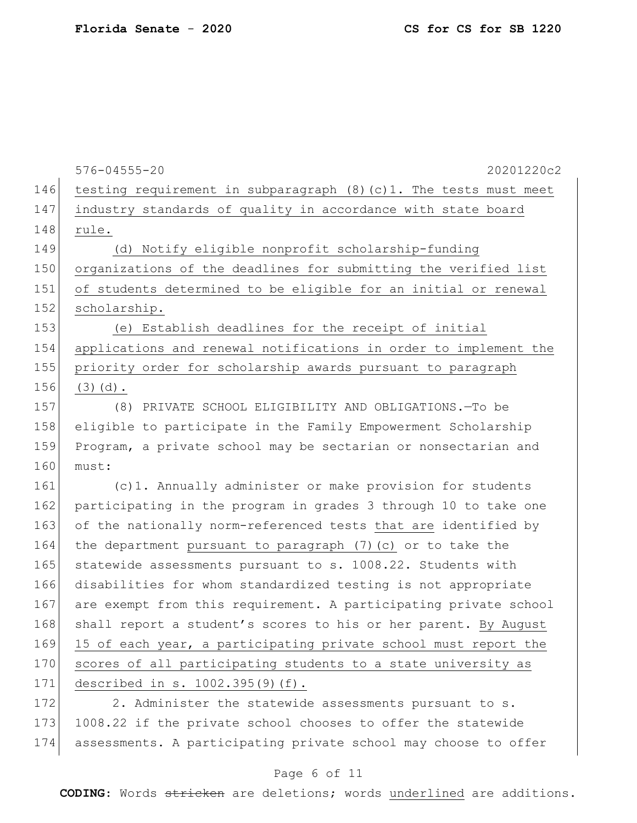|     | $576 - 04555 - 20$<br>20201220c2                                     |
|-----|----------------------------------------------------------------------|
| 146 | testing requirement in subparagraph $(8)$ (c) 1. The tests must meet |
| 147 | industry standards of quality in accordance with state board         |
| 148 | rule.                                                                |
| 149 | (d) Notify eligible nonprofit scholarship-funding                    |
| 150 | organizations of the deadlines for submitting the verified list      |
| 151 | of students determined to be eligible for an initial or renewal      |
| 152 | scholarship.                                                         |
| 153 | (e) Establish deadlines for the receipt of initial                   |
| 154 | applications and renewal notifications in order to implement the     |
| 155 | priority order for scholarship awards pursuant to paragraph          |
| 156 | $(3)$ $(d)$ .                                                        |
| 157 | (8) PRIVATE SCHOOL ELIGIBILITY AND OBLIGATIONS.-To be                |
| 158 | eligible to participate in the Family Empowerment Scholarship        |
| 159 | Program, a private school may be sectarian or nonsectarian and       |
| 160 | must:                                                                |
| 161 | (c)1. Annually administer or make provision for students             |
| 162 | participating in the program in grades 3 through 10 to take one      |
| 163 | of the nationally norm-referenced tests that are identified by       |
| 164 | the department pursuant to paragraph (7) (c) or to take the          |
| 165 | statewide assessments pursuant to s. 1008.22. Students with          |
| 166 | disabilities for whom standardized testing is not appropriate        |
| 167 | are exempt from this requirement. A participating private school     |
| 168 | shall report a student's scores to his or her parent. By August      |
| 169 | 15 of each year, a participating private school must report the      |
| 170 | scores of all participating students to a state university as        |
| 171 | described in s. 1002.395(9)(f).                                      |
| 172 | 2. Administer the statewide assessments pursuant to s.               |
| 172 |                                                                      |

173 1008.22 if the private school chooses to offer the statewide 174 assessments. A participating private school may choose to offer

### Page 6 of 11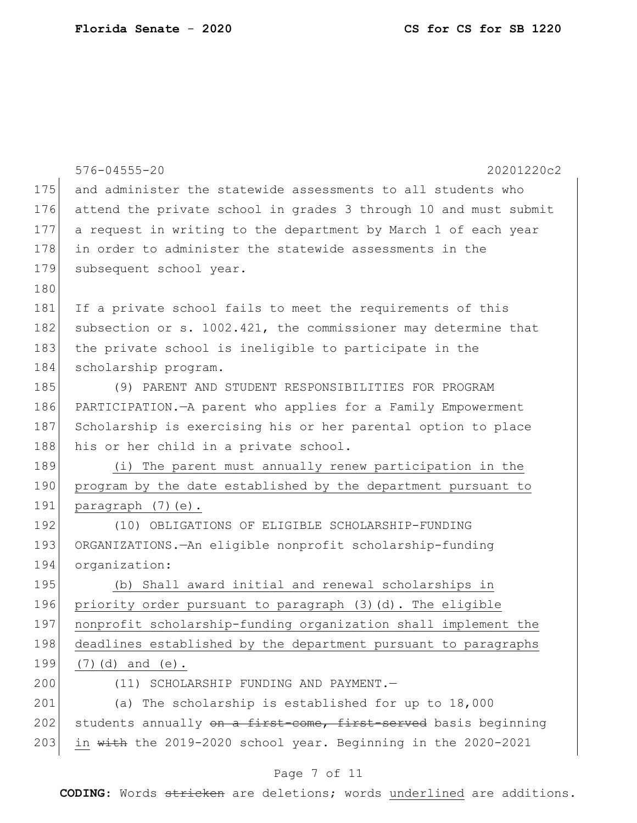|     | $576 - 04555 - 20$<br>20201220c2                                 |
|-----|------------------------------------------------------------------|
| 175 | and administer the statewide assessments to all students who     |
| 176 | attend the private school in grades 3 through 10 and must submit |
| 177 | a request in writing to the department by March 1 of each year   |
| 178 | in order to administer the statewide assessments in the          |
| 179 | subsequent school year.                                          |
| 180 |                                                                  |
| 181 | If a private school fails to meet the requirements of this       |
| 182 | subsection or s. 1002.421, the commissioner may determine that   |
| 183 | the private school is ineligible to participate in the           |
| 184 | scholarship program.                                             |
| 185 | (9) PARENT AND STUDENT RESPONSIBILITIES FOR PROGRAM              |
| 186 | PARTICIPATION.-A parent who applies for a Family Empowerment     |
| 187 | Scholarship is exercising his or her parental option to place    |
| 188 | his or her child in a private school.                            |
| 189 | (i) The parent must annually renew participation in the          |
| 190 | program by the date established by the department pursuant to    |
| 191 | paragraph (7)(e).                                                |
| 192 | (10) OBLIGATIONS OF ELIGIBLE SCHOLARSHIP-FUNDING                 |
| 193 | ORGANIZATIONS.-An eligible nonprofit scholarship-funding         |
| 194 | organization:                                                    |
| 195 | (b) Shall award initial and renewal scholarships in              |
| 196 | priority order pursuant to paragraph (3)(d). The eligible        |
| 197 | nonprofit scholarship-funding organization shall implement the   |
| 198 | deadlines established by the department pursuant to paragraphs   |
| 199 | $(7)$ (d) and (e).                                               |
| 200 | (11) SCHOLARSHIP FUNDING AND PAYMENT.-                           |
| 201 | (a) The scholarship is established for up to $18,000$            |
| 202 | students annually on a first-come, first-served basis beginning  |
| 203 | in with the 2019-2020 school year. Beginning in the 2020-2021    |

# Page 7 of 11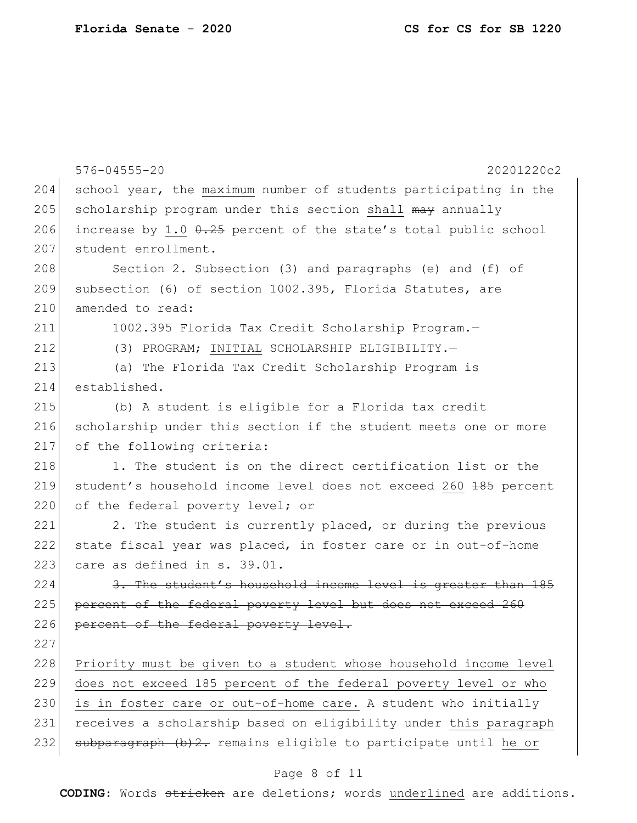|     | $576 - 04555 - 20$<br>20201220c2                                            |
|-----|-----------------------------------------------------------------------------|
| 204 | school year, the maximum number of students participating in the            |
| 205 | scholarship program under this section shall may annually                   |
| 206 | increase by 1.0 0.25 percent of the state's total public school             |
| 207 | student enrollment.                                                         |
| 208 | Section 2. Subsection (3) and paragraphs (e) and (f) of                     |
| 209 | subsection (6) of section 1002.395, Florida Statutes, are                   |
| 210 | amended to read:                                                            |
| 211 | 1002.395 Florida Tax Credit Scholarship Program.-                           |
| 212 | (3) PROGRAM; INITIAL SCHOLARSHIP ELIGIBILITY.-                              |
| 213 | (a) The Florida Tax Credit Scholarship Program is                           |
| 214 | established.                                                                |
| 215 | (b) A student is eligible for a Florida tax credit                          |
| 216 | scholarship under this section if the student meets one or more             |
| 217 | of the following criteria:                                                  |
| 218 | 1. The student is on the direct certification list or the                   |
| 219 | student's household income level does not exceed 260 <del>185</del> percent |
| 220 | of the federal poverty level; or                                            |
| 221 | 2. The student is currently placed, or during the previous                  |
| 222 | state fiscal year was placed, in foster care or in out-of-home              |
| 223 | care as defined in s. 39.01.                                                |
| 224 | 3. The student's household income level is greater than 185                 |
| 225 | percent of the federal poverty level but does not exceed 260                |
| 226 | percent of the federal poverty level.                                       |
| 227 |                                                                             |
| 228 | Priority must be given to a student whose household income level            |
| 229 | does not exceed 185 percent of the federal poverty level or who             |
| 230 | is in foster care or out-of-home care. A student who initially              |
| 231 | receives a scholarship based on eligibility under this paragraph            |
| 232 | subparagraph (b) 2. remains eligible to participate until he or             |
|     | Page 8 of 11                                                                |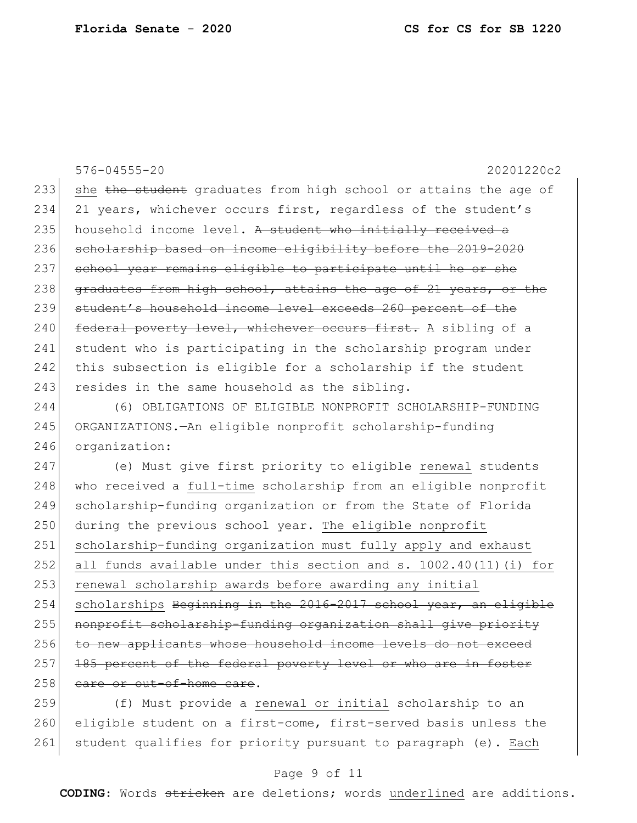576-04555-20 20201220c2 233 she the student graduates from high school or attains the age of 234 21 years, whichever occurs first, regardless of the student's 235 household income level. A student who initially received a 236 scholarship based on income eligibility before the 2019-2020 237 school year remains eligible to participate until he or she 238 graduates from high school, attains the age of 21 years, or the 239 student's household income level exceeds 260 percent of the 240 federal poverty level, whichever occurs first. A sibling of a 241 student who is participating in the scholarship program under 242 this subsection is eligible for a scholarship if the student 243 resides in the same household as the sibling.

244 (6) OBLIGATIONS OF ELIGIBLE NONPROFIT SCHOLARSHIP-FUNDING 245 ORGANIZATIONS.—An eligible nonprofit scholarship-funding 246 organization:

247 (e) Must give first priority to eligible renewal students 248 who received a full-time scholarship from an eligible nonprofit 249 scholarship-funding organization or from the State of Florida 250 during the previous school year. The eligible nonprofit 251 scholarship-funding organization must fully apply and exhaust 252 all funds available under this section and s. 1002.40(11)(i) for 253 renewal scholarship awards before awarding any initial 254 scholarships Beginning in the 2016-2017 school year, an eligible 255 nonprofit scholarship-funding organization shall give priority 256 to new applicants whose household income levels do not exceed 257 185 percent of the federal poverty level or who are in foster 258 care or out-of-home care.

259 (f) Must provide a renewal or initial scholarship to an 260 eligible student on a first-come, first-served basis unless the 261 student qualifies for priority pursuant to paragraph (e). Each

### Page 9 of 11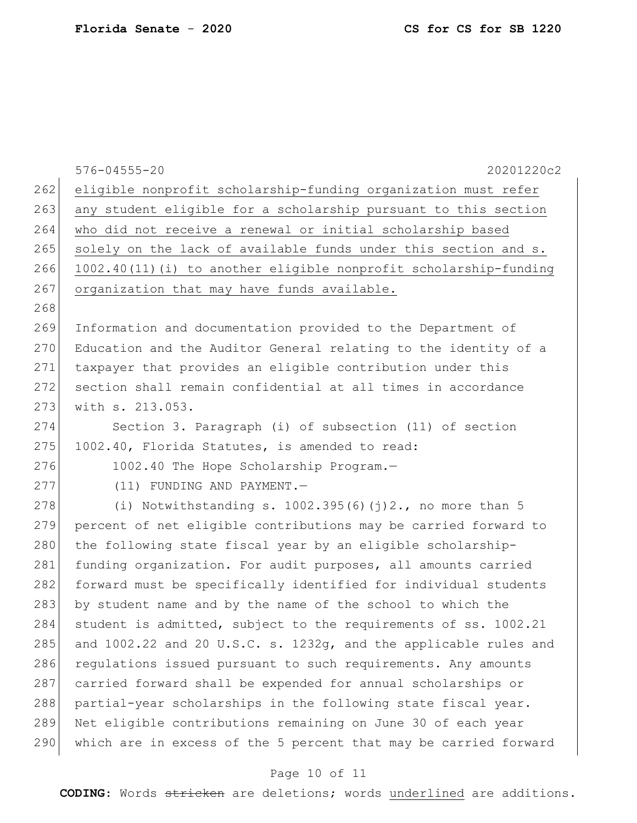|     | $576 - 04555 - 20$<br>20201220c2                                 |
|-----|------------------------------------------------------------------|
| 262 | eligible nonprofit scholarship-funding organization must refer   |
| 263 | any student eligible for a scholarship pursuant to this section  |
| 264 | who did not receive a renewal or initial scholarship based       |
| 265 | solely on the lack of available funds under this section and s.  |
| 266 | 1002.40(11)(i) to another eligible nonprofit scholarship-funding |
| 267 | organization that may have funds available.                      |
| 268 |                                                                  |
| 269 | Information and documentation provided to the Department of      |
| 270 | Education and the Auditor General relating to the identity of a  |
| 271 | taxpayer that provides an eligible contribution under this       |
| 272 | section shall remain confidential at all times in accordance     |
| 273 | with s. 213.053.                                                 |
| 274 | Section 3. Paragraph (i) of subsection (11) of section           |
| 275 | 1002.40, Florida Statutes, is amended to read:                   |
| 276 | 1002.40 The Hope Scholarship Program.-                           |
| 277 | (11) FUNDING AND PAYMENT.-                                       |
| 278 | (i) Notwithstanding s. $1002.395(6)(7)2$ ., no more than 5       |
| 279 | percent of net eligible contributions may be carried forward to  |
| 280 | the following state fiscal year by an eligible scholarship-      |
| 281 | funding organization. For audit purposes, all amounts carried    |
| 282 | forward must be specifically identified for individual students  |
| 283 | by student name and by the name of the school to which the       |
| 284 | student is admitted, subject to the requirements of ss. 1002.21  |
| 285 | and 1002.22 and 20 U.S.C. s. 1232g, and the applicable rules and |
| 286 | regulations issued pursuant to such requirements. Any amounts    |
| 287 | carried forward shall be expended for annual scholarships or     |
| 288 | partial-year scholarships in the following state fiscal year.    |
| 289 | Net eligible contributions remaining on June 30 of each year     |
| 290 | which are in excess of the 5 percent that may be carried forward |

# Page 10 of 11